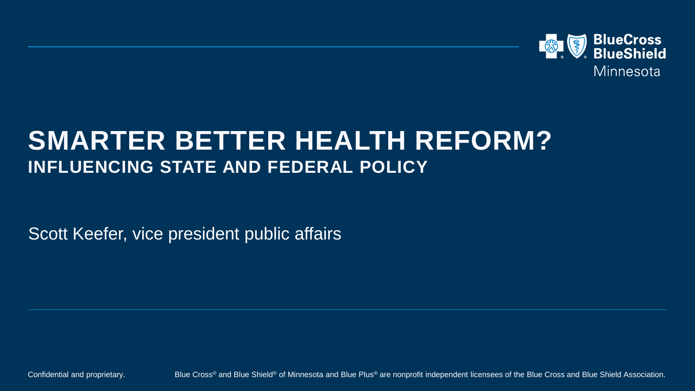

#### **SMARTER BETTER HEALTH REFORM? INFLUENCING STATE AND FEDERAL POLICY**

Scott Keefer, vice president public affairs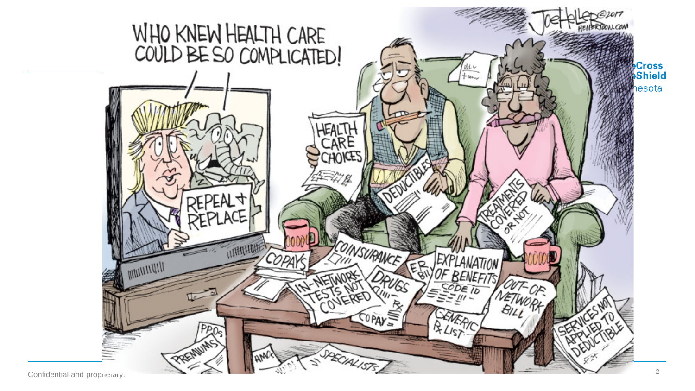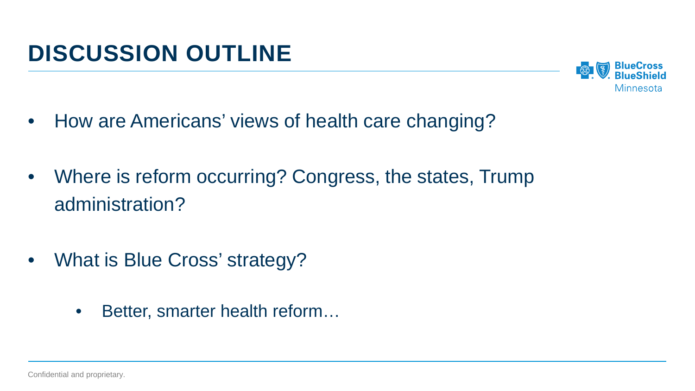

- How are Americans' views of health care changing?
- Where is reform occurring? Congress, the states, Trump administration?
- What is Blue Cross' strategy?
	- Better, smarter health reform...

Confidential and proprietary.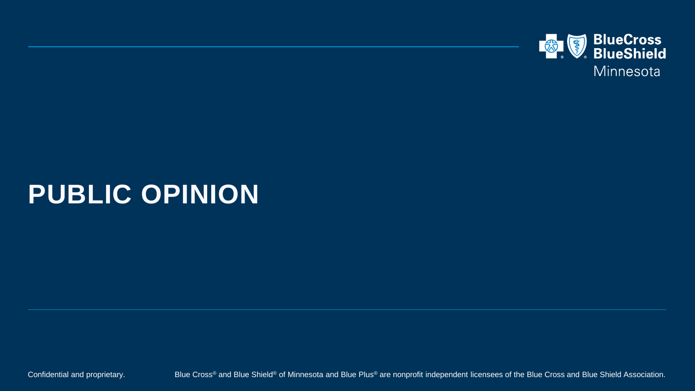

# **PUBLIC OPINION**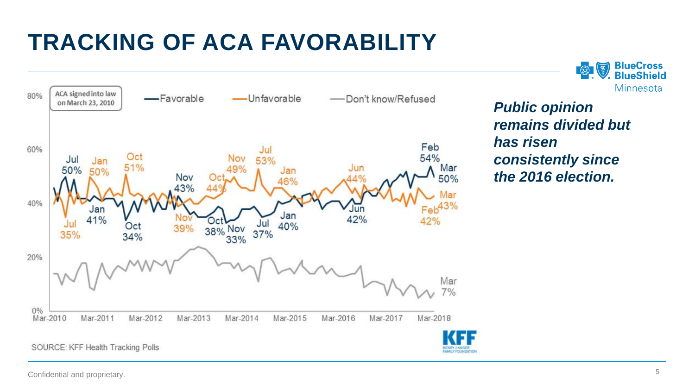## **TRACKING OF ACA FAVORABILITY**





*Public opinion remains divided but has risen consistently since the 2016 election.*

Confidential and proprietary.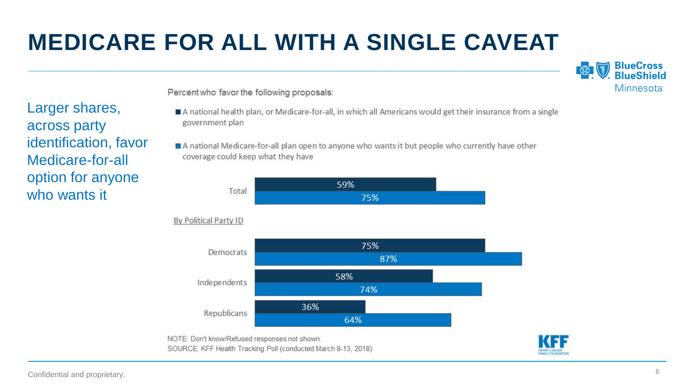## **MEDICARE FOR ALL WITH A SINGLE CAVEAT**



Percent who favor the following proposals:

- A national health plan, or Medicare-for-all, in which all Americans would get their insurance from a single government plan
- A national Medicare-for-all plan open to anyone who wants it but people who currently have other coverage could keep what they have



#### By Political Party ID





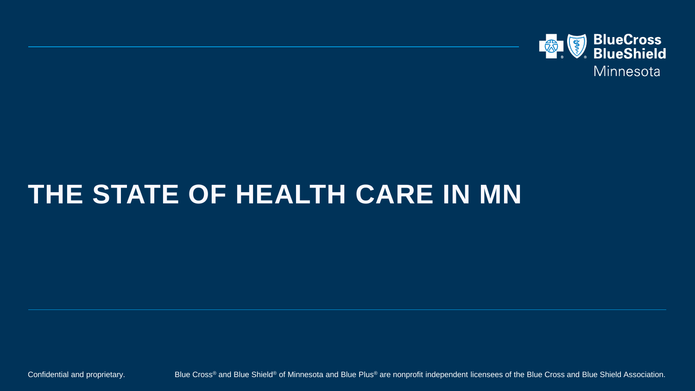

## **THE STATE OF HEALTH CARE IN MN**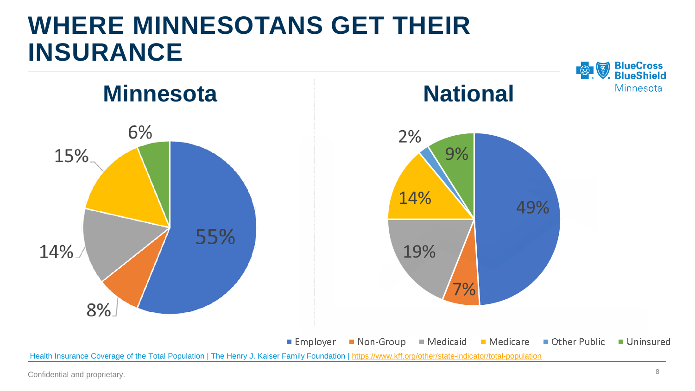## **WHERE MINNESOTANS GET THEIR INSURANCE**



 $\blacksquare$  Employer Non-Group ■ Medicaid Medicare Other Public Uninsured Health Insurance Coverage of the Total Population | The Henry J. Kaiser Family Foundation | <https://www.kff.org/other/state-indicator/total-population>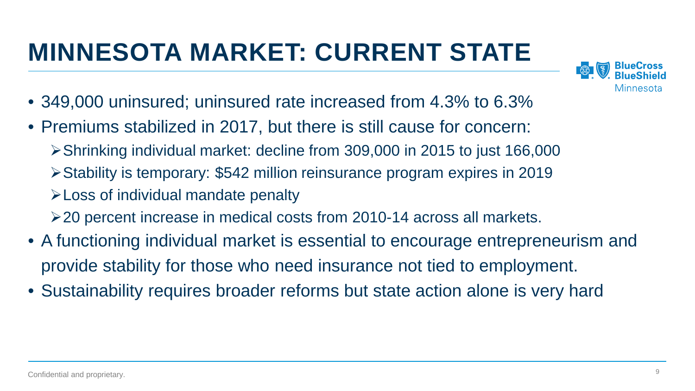# **MINNESOTA MARKET: CURRENT STATE**



- 349,000 uninsured; uninsured rate increased from 4.3% to 6.3%
- Premiums stabilized in 2017, but there is still cause for concern:
	- Shrinking individual market: decline from 309,000 in 2015 to just 166,000
	- Stability is temporary: \$542 million reinsurance program expires in 2019
	- Loss of individual mandate penalty
	- 20 percent increase in medical costs from 2010-14 across all markets.
- A functioning individual market is essential to encourage entrepreneurism and provide stability for those who need insurance not tied to employment.
- Sustainability requires broader reforms but state action alone is very hard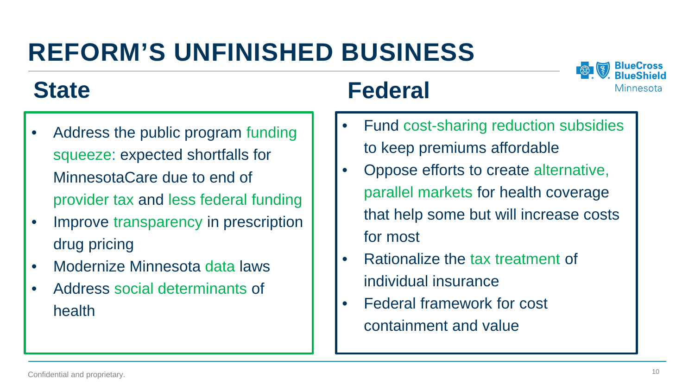# **REFORM'S UNFINISHED BUSINESS**

### **State**

- Address the public program funding squeeze: expected shortfalls for MinnesotaCare due to end of provider tax and less federal funding
- Improve transparency in prescription drug pricing
- Modernize Minnesota data laws
- Address social determinants of health

#### **Federal**

- Fund cost-sharing reduction subsidies to keep premiums affordable
- Oppose efforts to create alternative, parallel markets for health coverage that help some but will increase costs for most
- Rationalize the tax treatment of individual insurance
- Federal framework for cost containment and value

Minnesota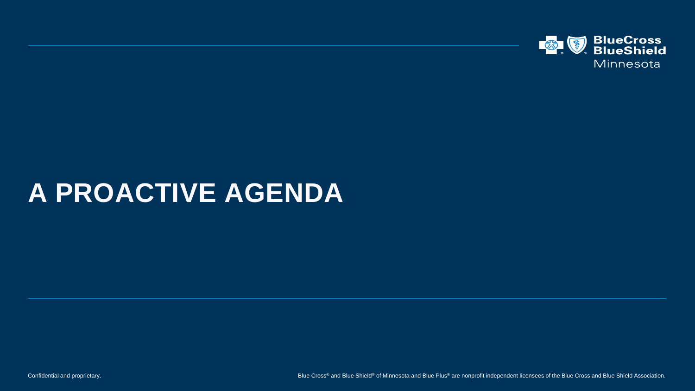

# **A PROACTIVE AGENDA**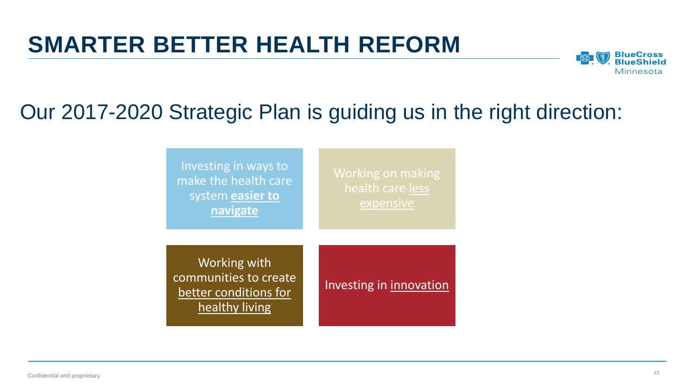#### **SMARTER BETTER HEALTH REFORM**



#### Our 2017-2020 Strategic Plan is guiding us in the right direction:

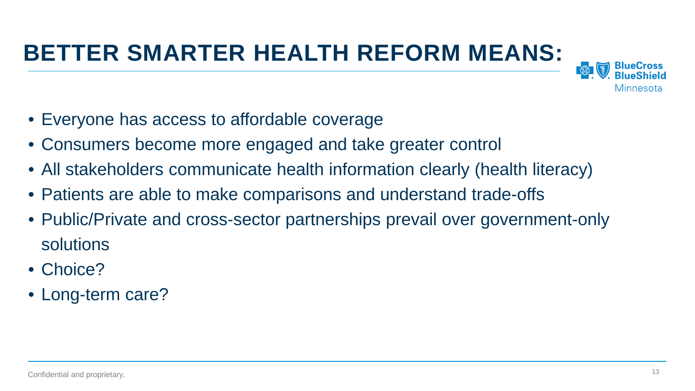## **BETTER SMARTER HEALTH REFORM MEANS:**



- Everyone has access to affordable coverage
- Consumers become more engaged and take greater control
- All stakeholders communicate health information clearly (health literacy)
- Patients are able to make comparisons and understand trade-offs
- Public/Private and cross-sector partnerships prevail over government-only solutions
- Choice?
- Long-term care?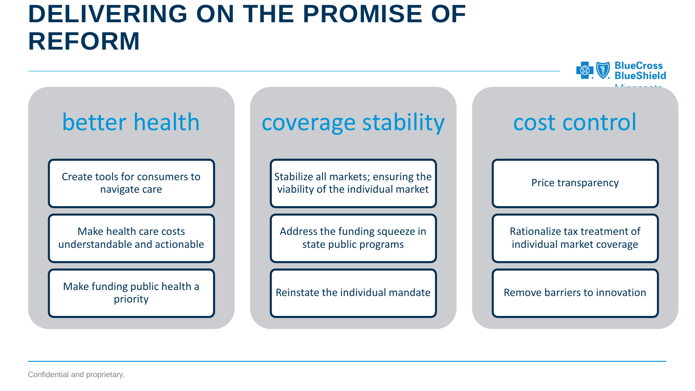### **DELIVERING ON THE PROMISE OF REFORM**



Confidential and proprietary.